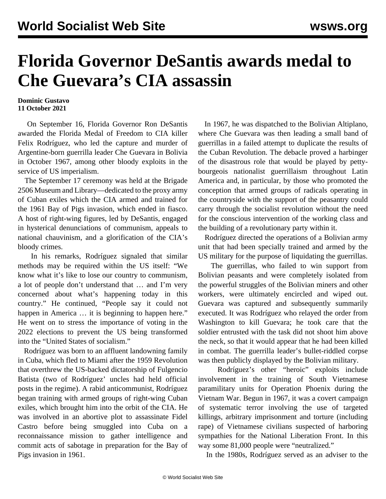## **Florida Governor DeSantis awards medal to Che Guevara's CIA assassin**

## **Dominic Gustavo 11 October 2021**

 On September 16, Florida Governor Ron DeSantis awarded the Florida Medal of Freedom to CIA killer Felix Rodríguez, who led the capture and murder of Argentine-born guerrilla leader Che Guevara in Bolivia in October 1967, among other bloody exploits in the service of US imperialism.

 The September 17 ceremony was held at the Brigade 2506 Museum and Library—dedicated to the proxy army of Cuban exiles which the CIA armed and trained for the 1961 Bay of Pigs invasion, which ended in fiasco. A host of right-wing figures, led by DeSantis, engaged in hysterical denunciations of communism, appeals to national chauvinism, and a glorification of the CIA's bloody crimes.

 In his remarks, Rodríguez signaled that similar methods may be required within the US itself: "We know what it's like to lose our country to communism, a lot of people don't understand that … and I'm very concerned about what's happening today in this country." He continued, "People say it could not happen in America ... it is beginning to happen here." He went on to stress the importance of voting in the 2022 elections to prevent the US being transformed into the "United States of socialism."

 Rodríguez was born to an affluent landowning family in Cuba, which fled to Miami after the 1959 Revolution that overthrew the US-backed dictatorship of Fulgencio Batista (two of Rodríguez' uncles had held official posts in the regime). A rabid anticommunist, Rodríguez began training with armed groups of right-wing Cuban exiles, which brought him into the orbit of the CIA. He was involved in an abortive plot to assassinate Fidel Castro before being smuggled into Cuba on a reconnaissance mission to gather intelligence and commit acts of sabotage in preparation for the Bay of Pigs invasion in 1961.

 In 1967, he was dispatched to the Bolivian Altiplano, where Che Guevara was then leading a small band of guerrillas in a failed attempt to duplicate the results of the Cuban Revolution. The debacle proved a harbinger of the disastrous role that would be played by pettybourgeois nationalist guerrillaism throughout Latin America and, in particular, by those who promoted the conception that armed groups of radicals operating in the countryside with the support of the peasantry could carry through the socialist revolution without the need for the conscious intervention of the working class and the building of a revolutionary party within it.

 Rodríguez directed the operations of a Bolivian army unit that had been specially trained and armed by the US military for the purpose of liquidating the guerrillas.

 The guerrillas, who failed to win support from Bolivian peasants and were completely isolated from the powerful struggles of the Bolivian miners and other workers, were ultimately encircled and wiped out. Guevara was captured and subsequently summarily executed. It was Rodríguez who relayed the order from Washington to kill Guevara; he took care that the soldier entrusted with the task did not shoot him above the neck, so that it would appear that he had been killed in combat. The guerrilla leader's bullet-riddled corpse was then publicly displayed by the Bolivian military.

 Rodríguez's other "heroic" exploits include involvement in the training of South Vietnamese paramilitary units for Operation Phoenix during the Vietnam War. Begun in 1967, it was a covert campaign of systematic terror involving the use of targeted killings, arbitrary imprisonment and torture (including rape) of Vietnamese civilians suspected of harboring sympathies for the National Liberation Front. In this way some 81,000 people were "neutralized."

In the 1980s, Rodríguez served as an adviser to the